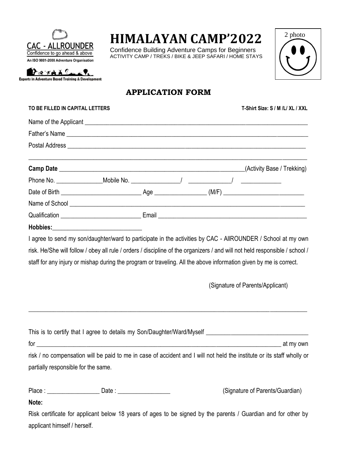

# **HIMALAYAN CAMP'2022**

Confidence Building Adventure Camps for Beginners ACTIVITY CAMP / TREKS / BIKE & JEEP SAFARI / HOME STAYS



PETALLAP **Experts in Adventure Based Training & Development** 

## **APPLICATION FORM**

| TO BE FILLED IN CAPITAL LETTERS         |  |  |  |  | T-Shirt Size: S / M /L/ XL / XXL                                                                                            |  |
|-----------------------------------------|--|--|--|--|-----------------------------------------------------------------------------------------------------------------------------|--|
|                                         |  |  |  |  |                                                                                                                             |  |
|                                         |  |  |  |  |                                                                                                                             |  |
|                                         |  |  |  |  |                                                                                                                             |  |
|                                         |  |  |  |  | (Activity Base / Trekking)                                                                                                  |  |
|                                         |  |  |  |  |                                                                                                                             |  |
|                                         |  |  |  |  |                                                                                                                             |  |
|                                         |  |  |  |  |                                                                                                                             |  |
|                                         |  |  |  |  |                                                                                                                             |  |
| Hobbies:_______________________________ |  |  |  |  |                                                                                                                             |  |
|                                         |  |  |  |  | I agree to send my son/daughter/ward to participate in the activities by CAC - AllROUNDER / School at my own                |  |
|                                         |  |  |  |  | risk. He/She will follow / obey all rule / orders / discipline of the organizers / and will not held responsible / school / |  |
|                                         |  |  |  |  | staff for any injury or mishap during the program or traveling. All the above information given by me is correct.           |  |
|                                         |  |  |  |  | (Signature of Parents/Applicant)                                                                                            |  |

| This is to certify that I agree to details my Son/Daughter/Ward/Myself                                                 |           |
|------------------------------------------------------------------------------------------------------------------------|-----------|
| for                                                                                                                    | at my own |
| risk / no compensation will be paid to me in case of accident and I will not held the institute or its staff wholly or |           |
| partially responsible for the same.                                                                                    |           |
|                                                                                                                        |           |

 $\_$  , and the set of the set of the set of the set of the set of the set of the set of the set of the set of the set of the set of the set of the set of the set of the set of the set of the set of the set of the set of th

Place : \_\_\_\_\_\_\_\_\_\_\_\_\_\_\_\_\_\_\_\_\_\_\_ Date : \_\_\_\_\_\_\_\_\_\_\_\_\_\_\_\_\_\_\_\_\_\_\_\_\_\_\_\_\_\_(Signature of Parents/Guardian)

#### **Note:**

Risk certificate for applicant below 18 years of ages to be signed by the parents / Guardian and for other by applicant himself / herself.